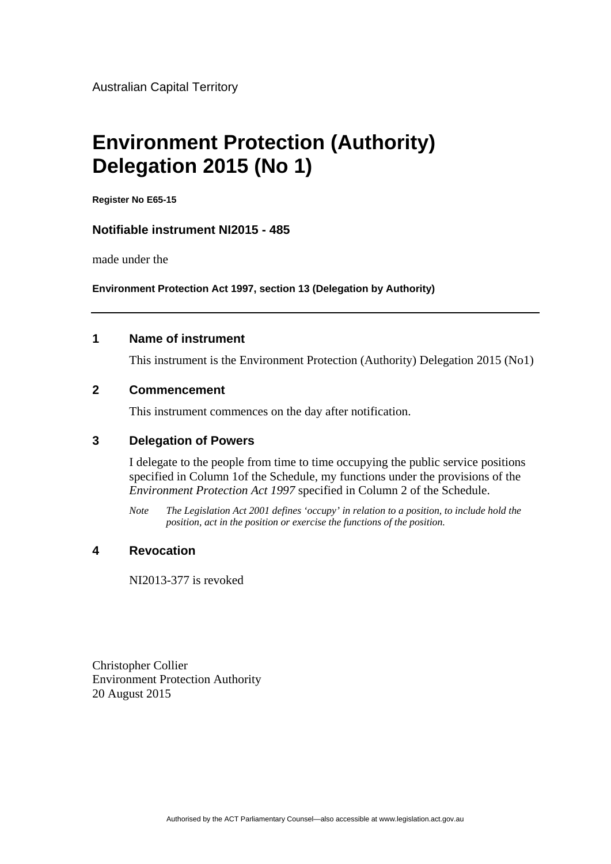# **Environment Protection (Authority) Delegation 2015 (No 1)**

**Register No E65-15** 

# **Notifiable instrument NI2015 - 485**

made under the

**Environment Protection Act 1997, section 13 (Delegation by Authority)** 

### **1 Name of instrument**

This instrument is the Environment Protection (Authority) Delegation 2015 (No1)

### **2 Commencement**

This instrument commences on the day after notification.

### **3 Delegation of Powers**

I delegate to the people from time to time occupying the public service positions specified in Column 1of the Schedule, my functions under the provisions of the *Environment Protection Act 1997* specified in Column 2 of the Schedule.

*Note The Legislation Act 2001 defines 'occupy' in relation to a position, to include hold the position, act in the position or exercise the functions of the position.* 

### **4 Revocation**

NI2013-377 is revoked

Christopher Collier Environment Protection Authority 20 August 2015